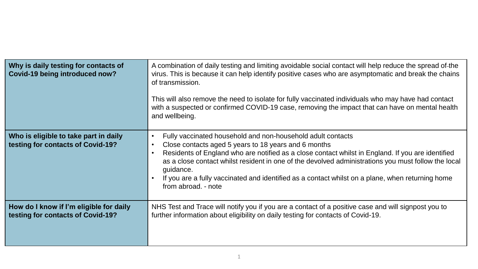| Why is daily testing for contacts of<br><b>Covid-19 being introduced now?</b> | A combination of daily testing and limiting avoidable social contact will help reduce the spread of-the<br>virus. This is because it can help identify positive cases who are asymptomatic and break the chains<br>of transmission.<br>This will also remove the need to isolate for fully vaccinated individuals who may have had contact<br>with a suspected or confirmed COVID-19 case, removing the impact that can have on mental health<br>and wellbeing.         |
|-------------------------------------------------------------------------------|-------------------------------------------------------------------------------------------------------------------------------------------------------------------------------------------------------------------------------------------------------------------------------------------------------------------------------------------------------------------------------------------------------------------------------------------------------------------------|
| Who is eligible to take part in daily<br>testing for contacts of Covid-19?    | Fully vaccinated household and non-household adult contacts<br>Close contacts aged 5 years to 18 years and 6 months<br>Residents of England who are notified as a close contact whilst in England. If you are identified<br>as a close contact whilst resident in one of the devolved administrations you must follow the local<br>guidance.<br>If you are a fully vaccinated and identified as a contact whilst on a plane, when returning home<br>from abroad. - note |
| How do I know if I'm eligible for daily<br>testing for contacts of Covid-19?  | NHS Test and Trace will notify you if you are a contact of a positive case and will signpost you to<br>further information about eligibility on daily testing for contacts of Covid-19.                                                                                                                                                                                                                                                                                 |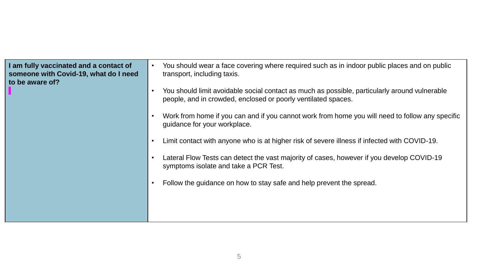| I am fully vaccinated and a contact of<br>someone with Covid-19, what do I need<br>to be aware of? | You should wear a face covering where required such as in indoor public places and on public<br>transport, including taxis.<br>You should limit avoidable social contact as much as possible, particularly around vulnerable<br>people, and in crowded, enclosed or poorly ventilated spaces.<br>Work from home if you can and if you cannot work from home you will need to follow any specific<br>guidance for your workplace.<br>Limit contact with anyone who is at higher risk of severe illness if infected with COVID-19. |
|----------------------------------------------------------------------------------------------------|----------------------------------------------------------------------------------------------------------------------------------------------------------------------------------------------------------------------------------------------------------------------------------------------------------------------------------------------------------------------------------------------------------------------------------------------------------------------------------------------------------------------------------|
|                                                                                                    | Lateral Flow Tests can detect the vast majority of cases, however if you develop COVID-19<br>symptoms isolate and take a PCR Test.<br>Follow the guidance on how to stay safe and help prevent the spread.                                                                                                                                                                                                                                                                                                                       |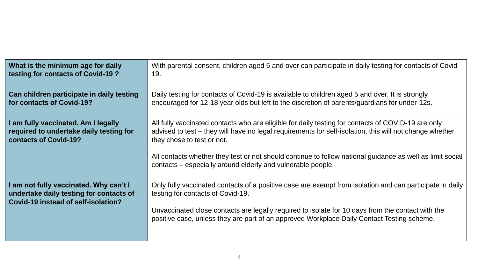| What is the minimum age for daily                                                                                        | With parental consent, children aged 5 and over can participate in daily testing for contacts of Covid-                                                                                                                                                                                                                                                                                                                 |
|--------------------------------------------------------------------------------------------------------------------------|-------------------------------------------------------------------------------------------------------------------------------------------------------------------------------------------------------------------------------------------------------------------------------------------------------------------------------------------------------------------------------------------------------------------------|
| testing for contacts of Covid-19?                                                                                        | 19.                                                                                                                                                                                                                                                                                                                                                                                                                     |
| Can children participate in daily testing                                                                                | Daily testing for contacts of Covid-19 is available to children aged 5 and over. It is strongly                                                                                                                                                                                                                                                                                                                         |
| for contacts of Covid-19?                                                                                                | encouraged for 12-18 year olds but left to the discretion of parents/guardians for under-12s.                                                                                                                                                                                                                                                                                                                           |
| I am fully vaccinated. Am I legally<br>required to undertake daily testing for<br>contacts of Covid-19?                  | All fully vaccinated contacts who are eligible for daily testing for contacts of COVID-19 are only<br>advised to test – they will have no legal requirements for self-isolation, this will not change whether<br>they chose to test or not.<br>All contacts whether they test or not should continue to follow national guidance as well as limit social<br>contacts – especially around elderly and vulnerable people. |
| I am not fully vaccinated. Why can't I<br>undertake daily testing for contacts of<br>Covid-19 instead of self-isolation? | Only fully vaccinated contacts of a positive case are exempt from isolation and can participate in daily<br>testing for contacts of Covid-19.<br>Unvaccinated close contacts are legally required to isolate for 10 days from the contact with the<br>positive case, unless they are part of an approved Workplace Daily Contact Testing scheme.                                                                        |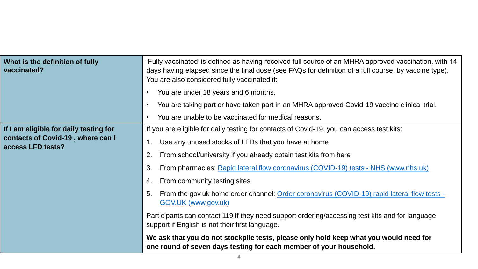| What is the definition of fully<br>vaccinated?                                                   | 'Fully vaccinated' is defined as having received full course of an MHRA approved vaccination, with 14<br>days having elapsed since the final dose (see FAQs for definition of a full course, by vaccine type).<br>You are also considered fully vaccinated if: |
|--------------------------------------------------------------------------------------------------|----------------------------------------------------------------------------------------------------------------------------------------------------------------------------------------------------------------------------------------------------------------|
|                                                                                                  | You are under 18 years and 6 months.                                                                                                                                                                                                                           |
|                                                                                                  | You are taking part or have taken part in an MHRA approved Covid-19 vaccine clinical trial.                                                                                                                                                                    |
|                                                                                                  | You are unable to be vaccinated for medical reasons.                                                                                                                                                                                                           |
| If I am eligible for daily testing for<br>contacts of Covid-19, where can I<br>access LFD tests? | If you are eligible for daily testing for contacts of Covid-19, you can access test kits:                                                                                                                                                                      |
|                                                                                                  | Use any unused stocks of LFDs that you have at home<br>1.                                                                                                                                                                                                      |
|                                                                                                  | From school/university if you already obtain test kits from here<br>2.                                                                                                                                                                                         |
|                                                                                                  | From pharmacies: Rapid lateral flow coronavirus (COVID-19) tests - NHS (www.nhs.uk)<br>3.                                                                                                                                                                      |
|                                                                                                  | From community testing sites<br>4.                                                                                                                                                                                                                             |
|                                                                                                  | From the gov.uk home order channel: Order coronavirus (COVID-19) rapid lateral flow tests -<br>5.<br>GOV.UK (www.gov.uk)                                                                                                                                       |
|                                                                                                  | Participants can contact 119 if they need support ordering/accessing test kits and for language<br>support if English is not their first language.                                                                                                             |
|                                                                                                  | We ask that you do not stockpile tests, please only hold keep what you would need for<br>one round of seven days testing for each member of your household.                                                                                                    |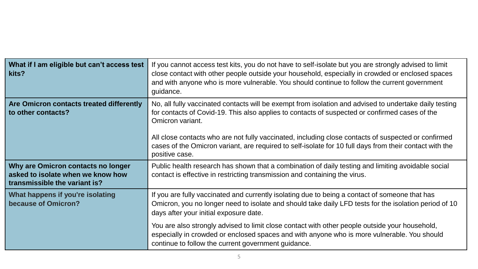| What if I am eligible but can't access test<br>kits?                                                     | If you cannot access test kits, you do not have to self-isolate but you are strongly advised to limit<br>close contact with other people outside your household, especially in crowded or enclosed spaces<br>and with anyone who is more vulnerable. You should continue to follow the current government<br>guidance. |
|----------------------------------------------------------------------------------------------------------|------------------------------------------------------------------------------------------------------------------------------------------------------------------------------------------------------------------------------------------------------------------------------------------------------------------------|
| Are Omicron contacts treated differently<br>to other contacts?                                           | No, all fully vaccinated contacts will be exempt from isolation and advised to undertake daily testing<br>for contacts of Covid-19. This also applies to contacts of suspected or confirmed cases of the<br>Omicron variant.                                                                                           |
|                                                                                                          | All close contacts who are not fully vaccinated, including close contacts of suspected or confirmed<br>cases of the Omicron variant, are required to self-isolate for 10 full days from their contact with the<br>positive case.                                                                                       |
| Why are Omicron contacts no longer<br>asked to isolate when we know how<br>transmissible the variant is? | Public health research has shown that a combination of daily testing and limiting avoidable social<br>contact is effective in restricting transmission and containing the virus.                                                                                                                                       |
| What happens if you're isolating<br>because of Omicron?                                                  | If you are fully vaccinated and currently isolating due to being a contact of someone that has<br>Omicron, you no longer need to isolate and should take daily LFD tests for the isolation period of 10<br>days after your initial exposure date.                                                                      |
|                                                                                                          | You are also strongly advised to limit close contact with other people outside your household,<br>especially in crowded or enclosed spaces and with anyone who is more vulnerable. You should<br>continue to follow the current government guidance.                                                                   |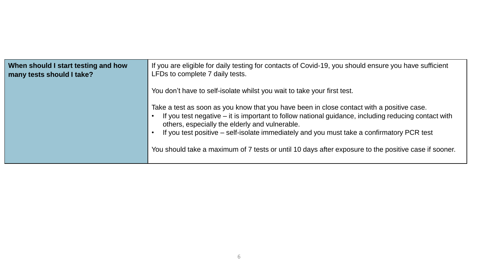| When should I start testing and how<br>many tests should I take? | If you are eligible for daily testing for contacts of Covid-19, you should ensure you have sufficient<br>LFDs to complete 7 daily tests.                                                                                                                                                                                                                                                                                                                |
|------------------------------------------------------------------|---------------------------------------------------------------------------------------------------------------------------------------------------------------------------------------------------------------------------------------------------------------------------------------------------------------------------------------------------------------------------------------------------------------------------------------------------------|
|                                                                  | You don't have to self-isolate whilst you wait to take your first test.                                                                                                                                                                                                                                                                                                                                                                                 |
|                                                                  | Take a test as soon as you know that you have been in close contact with a positive case.<br>If you test negative – it is important to follow national guidance, including reducing contact with<br>others, especially the elderly and vulnerable.<br>If you test positive – self-isolate immediately and you must take a confirmatory PCR test<br>You should take a maximum of 7 tests or until 10 days after exposure to the positive case if sooner. |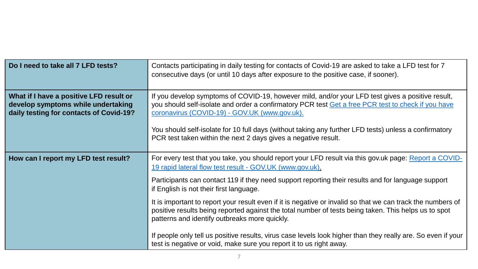| Do I need to take all 7 LFD tests?                                                                                       | Contacts participating in daily testing for contacts of Covid-19 are asked to take a LFD test for 7<br>consecutive days (or until 10 days after exposure to the positive case, if sooner).                                                                           |
|--------------------------------------------------------------------------------------------------------------------------|----------------------------------------------------------------------------------------------------------------------------------------------------------------------------------------------------------------------------------------------------------------------|
| What if I have a positive LFD result or<br>develop symptoms while undertaking<br>daily testing for contacts of Covid-19? | If you develop symptoms of COVID-19, however mild, and/or your LFD test gives a positive result,<br>you should self-isolate and order a confirmatory PCR test Get a free PCR test to check if you have<br>coronavirus (COVID-19) - GOV.UK (www.gov.uk).              |
|                                                                                                                          | You should self-isolate for 10 full days (without taking any further LFD tests) unless a confirmatory<br>PCR test taken within the next 2 days gives a negative result.                                                                                              |
| How can I report my LFD test result?                                                                                     | For every test that you take, you should report your LFD result via this gov.uk page: Report a COVID-<br>19 rapid lateral flow test result - GOV.UK (www.gov.uk).                                                                                                    |
|                                                                                                                          | Participants can contact 119 if they need support reporting their results and for language support<br>if English is not their first language.                                                                                                                        |
|                                                                                                                          | It is important to report your result even if it is negative or invalid so that we can track the numbers of<br>positive results being reported against the total number of tests being taken. This helps us to spot<br>patterns and identify outbreaks more quickly. |
|                                                                                                                          | If people only tell us positive results, virus case levels look higher than they really are. So even if your<br>test is negative or void, make sure you report it to us right away.                                                                                  |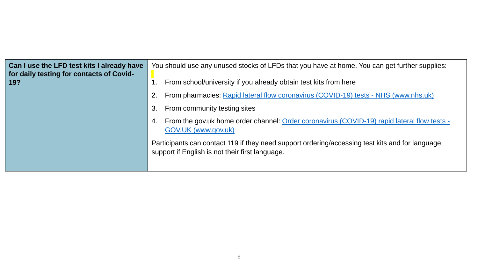| Can I use the LFD test kits I already have<br>for daily testing for contacts of Covid- | You should use any unused stocks of LFDs that you have at home. You can get further supplies:                                                      |
|----------------------------------------------------------------------------------------|----------------------------------------------------------------------------------------------------------------------------------------------------|
| 19?                                                                                    | From school/university if you already obtain test kits from here                                                                                   |
|                                                                                        | From pharmacies: Rapid lateral flow coronavirus (COVID-19) tests - NHS (www.nhs.uk)                                                                |
|                                                                                        | From community testing sites<br>3.                                                                                                                 |
|                                                                                        | From the gov.uk home order channel: Order coronavirus (COVID-19) rapid lateral flow tests -<br>4.<br>GOV.UK (www.gov.uk)                           |
|                                                                                        | Participants can contact 119 if they need support ordering/accessing test kits and for language<br>support if English is not their first language. |
|                                                                                        |                                                                                                                                                    |